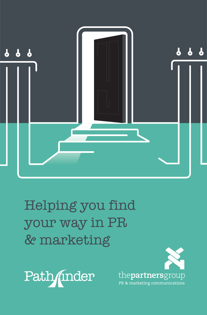

Helping you find your way in PR & marketin[g](http://www.partners-group.co.uk)

Path/inder

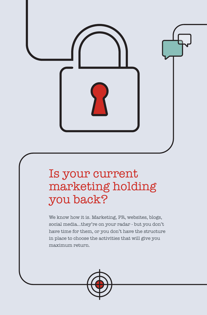

# Is your current marketing holding you back?

We know how it is. Marketing, PR, websites, blogs, social media…they're on your radar - but you don't have time for them, or you don't have the structure in place to choose the activities that will give you maximum return.

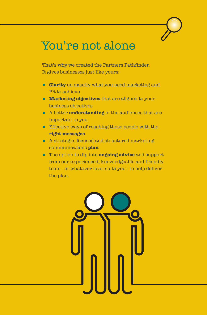## You're not alone

That's why we created the Partners Pathfinder. It gives businesses just like yours:

- **Clarity** on exactly what you need marketing and PR to achieve
- **Marketing objectives** that are aligned to your business objectives
- A better **understanding** of the audiences that are important to you
- **Effective ways of reaching those people with the right messages**
- A strategic, focused and structured marketing communications **plan**
- The option to dip into **ongoing advice** and support from our experienced, knowledgeable and friendly team - at whatever level suits you - to help deliver the plan.

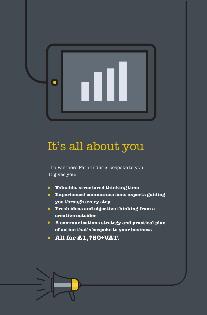

# It's all about you

The Partners Pathfinder is bespoke to you. It gives you:

- **Valuable, structured thinking time**
- **Experienced communications experts guiding you through every step**
- **Fresh ideas and objective thinking from a creative outsider**
- **A communications strategy and practical plan of action that's bespoke to your business**
- **All for £1,750+VAT.**

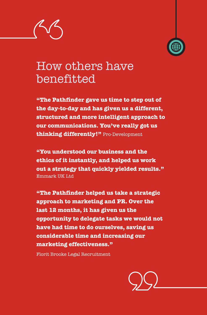

## How others have benefitted

**"The Pathfinder gave us time to step out of the day-to-day and has given us a different, structured and more intelligent approach to our communications. You've really got us thinking differently!"** Pro-Development

**"You understood our business and the ethics of it instantly, and helped us work out a strategy that quickly yielded results."**  Emmark UK Ltd

**"The Pathfinder helped us take a strategic approach to marketing and PR. Over the last 12 months, it has given us the opportunity to delegate tasks we would not have had time to do ourselves, saving us considerable time and increasing our marketing effectiveness."** 

Florit Brooke Legal Recruitment